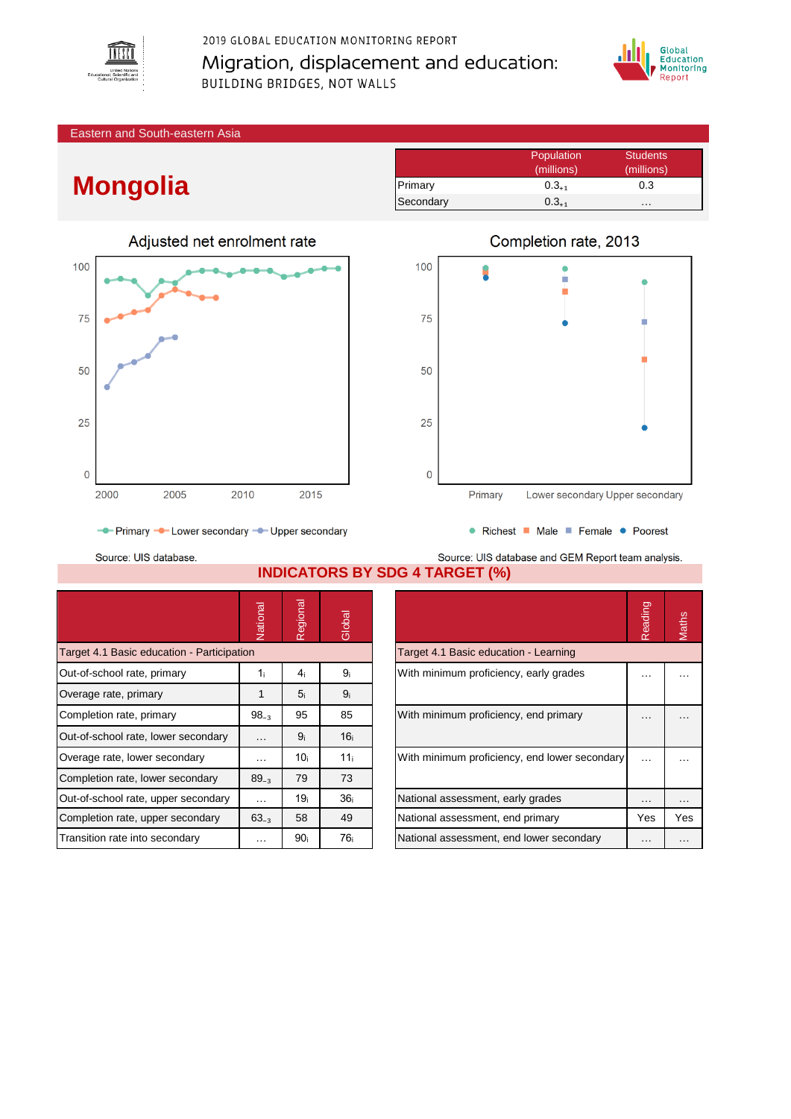

2019 GLOBAL EDUCATION MONITORING REPORT Migration, displacement and education: BUILDING BRIDGES, NOT WALLS



Eastern and South-eastern Asia

## **Mongolia**

|           | Population | <b>Students</b> |
|-----------|------------|-----------------|
|           | (millions) | (millions)      |
| Primary   | $0.3_{+1}$ | 0.3             |
| Secondary | $0.3_{+1}$ | .               |





• Richest • Male • Female • Poorest

- Primary - Lower secondary - Upper secondary

Source: UIS database.

Source: UIS database and GEM Report team analysis. **INDICATORS BY SDG 4 TARGET (%)**

|                                            | Vational             | Regional        | Global          |                                               | Reading       | Maths    |
|--------------------------------------------|----------------------|-----------------|-----------------|-----------------------------------------------|---------------|----------|
| Target 4.1 Basic education - Participation |                      |                 |                 | Target 4.1 Basic education - Learning         |               |          |
| Out-of-school rate, primary                | 1 i                  | 4 <sub>i</sub>  | 9ì              | With minimum proficiency, early grades        | $\cdots$      |          |
| Overage rate, primary                      |                      | 5 <sub>i</sub>  | 9 <sub>i</sub>  |                                               |               |          |
| Completion rate, primary                   | $98_{-3}$            | 95              | 85              | With minimum proficiency, end primary         | $\cdots$      |          |
| Out-of-school rate, lower secondary        | $\cdots$             | 9 <sub>i</sub>  | 16 <sub>i</sub> |                                               |               |          |
| Overage rate, lower secondary              | $\cdots$             | 10i             | 11 <sub>i</sub> | With minimum proficiency, end lower secondary | $\sim$ $\sim$ | $\cdots$ |
| Completion rate, lower secondary           | $89_{-3}$            | 79              | 73              |                                               |               |          |
| Out-of-school rate, upper secondary        | $\sim$ $\sim$ $\sim$ | 19 <sub>i</sub> | 36 <sub>i</sub> | National assessment, early grades             | $\cdots$      | $\cdots$ |
| Completion rate, upper secondary           | $63_{-3}$            | 58              | 49              | National assessment, end primary              | Yes           | Yes      |
| Transition rate into secondary             | $\cdots$             | 90 <sub>i</sub> | 76 i            | National assessment, end lower secondary      | $\cdots$      | $\cdots$ |

|                                               | Reading |     |
|-----------------------------------------------|---------|-----|
| Target 4.1 Basic education - Learning         |         |     |
| With minimum proficiency, early grades        |         |     |
| With minimum proficiency, end primary         |         |     |
| With minimum proficiency, end lower secondary |         |     |
| National assessment, early grades             |         |     |
| National assessment, end primary              | Yes     | Yes |
| National assessment, end lower secondary      |         |     |